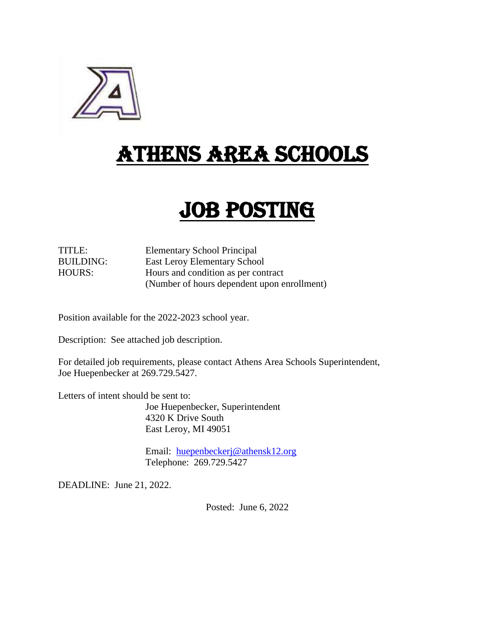

# ATHENS AREA SCHOOLS

# JOB POSTING

TITLE: Elementary School Principal BUILDING: East Leroy Elementary School HOURS: Hours and condition as per contract (Number of hours dependent upon enrollment)

Position available for the 2022-2023 school year.

Description: See attached job description.

For detailed job requirements, please contact Athens Area Schools Superintendent, Joe Huepenbecker at 269.729.5427.

Letters of intent should be sent to:

Joe Huepenbecker, Superintendent 4320 K Drive South East Leroy, MI 49051

Email: [huepenbeckerj@athensk12.org](mailto:huepenbeckerj@athensk12.org) Telephone: 269.729.5427

DEADLINE: June 21, 2022.

Posted: June 6, 2022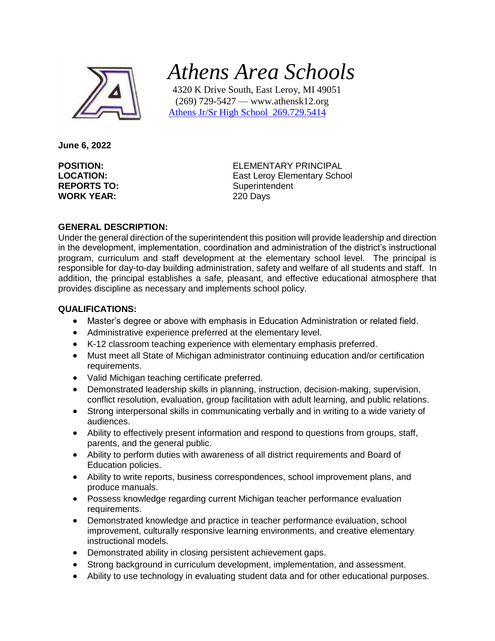

 *Athens Area Schools*

 4320 K Drive South, East Leroy, MI 49051 (269) 729-5427 — www.athensk12.org Athens Jr/Sr High School 269.729.5414

**June 6, 2022**

**REPORTS TO:** Superintendent **WORK YEAR:** 220 Days

**POSITION:** ELEMENTARY PRINCIPAL **LOCATION:** East Leroy Elementary School

## **GENERAL DESCRIPTION:**

Under the general direction of the superintendent this position will provide leadership and direction in the development, implementation, coordination and administration of the district's instructional program, curriculum and staff development at the elementary school level. The principal is responsible for day-to-day building administration, safety and welfare of all students and staff. In addition, the principal establishes a safe, pleasant, and effective educational atmosphere that provides discipline as necessary and implements school policy.

#### **QUALIFICATIONS:**

- Master's degree or above with emphasis in Education Administration or related field.
- Administrative experience preferred at the elementary level.
- K-12 classroom teaching experience with elementary emphasis preferred.
- Must meet all State of Michigan administrator continuing education and/or certification requirements.
- Valid Michigan teaching certificate preferred.
- Demonstrated leadership skills in planning, instruction, decision-making, supervision, conflict resolution, evaluation, group facilitation with adult learning, and public relations.
- Strong interpersonal skills in communicating verbally and in writing to a wide variety of audiences.
- Ability to effectively present information and respond to questions from groups, staff, parents, and the general public.
- Ability to perform duties with awareness of all district requirements and Board of Education policies.
- Ability to write reports, business correspondences, school improvement plans, and produce manuals.
- Possess knowledge regarding current Michigan teacher performance evaluation requirements.
- Demonstrated knowledge and practice in teacher performance evaluation, school improvement, culturally responsive learning environments, and creative elementary instructional models.
- Demonstrated ability in closing persistent achievement gaps.
- Strong background in curriculum development, implementation, and assessment.
- Ability to use technology in evaluating student data and for other educational purposes.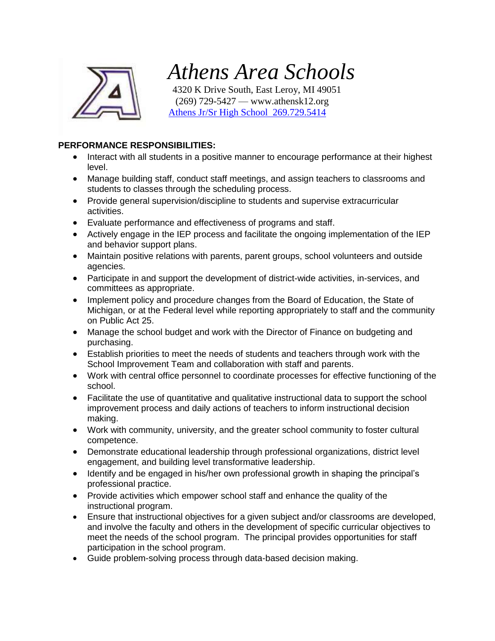

# *Athens Area Schools*

 4320 K Drive South, East Leroy, MI 49051 (269) 729-5427 — www.athensk12.org Athens Jr/Sr High School 269.729.5414

# **PERFORMANCE RESPONSIBILITIES:**

- Interact with all students in a positive manner to encourage performance at their highest level.
- Manage building staff, conduct staff meetings, and assign teachers to classrooms and students to classes through the scheduling process.
- Provide general supervision/discipline to students and supervise extracurricular activities.
- Evaluate performance and effectiveness of programs and staff.
- Actively engage in the IEP process and facilitate the ongoing implementation of the IEP and behavior support plans.
- Maintain positive relations with parents, parent groups, school volunteers and outside agencies.
- Participate in and support the development of district-wide activities, in-services, and committees as appropriate.
- Implement policy and procedure changes from the Board of Education, the State of Michigan, or at the Federal level while reporting appropriately to staff and the community on Public Act 25.
- Manage the school budget and work with the Director of Finance on budgeting and purchasing.
- Establish priorities to meet the needs of students and teachers through work with the School Improvement Team and collaboration with staff and parents.
- Work with central office personnel to coordinate processes for effective functioning of the school.
- Facilitate the use of quantitative and qualitative instructional data to support the school improvement process and daily actions of teachers to inform instructional decision making.
- Work with community, university, and the greater school community to foster cultural competence.
- Demonstrate educational leadership through professional organizations, district level engagement, and building level transformative leadership.
- Identify and be engaged in his/her own professional growth in shaping the principal's professional practice.
- Provide activities which empower school staff and enhance the quality of the instructional program.
- Ensure that instructional objectives for a given subject and/or classrooms are developed, and involve the faculty and others in the development of specific curricular objectives to meet the needs of the school program. The principal provides opportunities for staff participation in the school program.
- Guide problem-solving process through data-based decision making.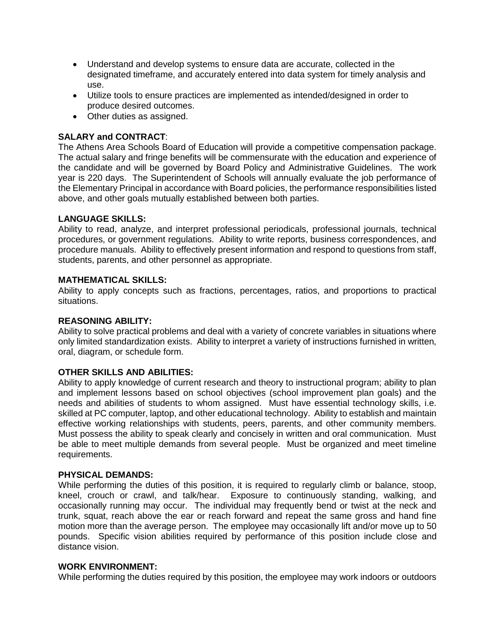- Understand and develop systems to ensure data are accurate, collected in the designated timeframe, and accurately entered into data system for timely analysis and use.
- Utilize tools to ensure practices are implemented as intended/designed in order to produce desired outcomes.
- Other duties as assigned.

# **SALARY and CONTRACT**:

The Athens Area Schools Board of Education will provide a competitive compensation package. The actual salary and fringe benefits will be commensurate with the education and experience of the candidate and will be governed by Board Policy and Administrative Guidelines. The work year is 220 days. The Superintendent of Schools will annually evaluate the job performance of the Elementary Principal in accordance with Board policies, the performance responsibilities listed above, and other goals mutually established between both parties.

#### **LANGUAGE SKILLS:**

Ability to read, analyze, and interpret professional periodicals, professional journals, technical procedures, or government regulations. Ability to write reports, business correspondences, and procedure manuals. Ability to effectively present information and respond to questions from staff, students, parents, and other personnel as appropriate.

#### **MATHEMATICAL SKILLS:**

Ability to apply concepts such as fractions, percentages, ratios, and proportions to practical situations.

#### **REASONING ABILITY:**

Ability to solve practical problems and deal with a variety of concrete variables in situations where only limited standardization exists. Ability to interpret a variety of instructions furnished in written, oral, diagram, or schedule form.

#### **OTHER SKILLS AND ABILITIES:**

Ability to apply knowledge of current research and theory to instructional program; ability to plan and implement lessons based on school objectives (school improvement plan goals) and the needs and abilities of students to whom assigned. Must have essential technology skills, i.e. skilled at PC computer, laptop, and other educational technology. Ability to establish and maintain effective working relationships with students, peers, parents, and other community members. Must possess the ability to speak clearly and concisely in written and oral communication. Must be able to meet multiple demands from several people. Must be organized and meet timeline requirements.

#### **PHYSICAL DEMANDS:**

While performing the duties of this position, it is required to regularly climb or balance, stoop, kneel, crouch or crawl, and talk/hear. Exposure to continuously standing, walking, and occasionally running may occur. The individual may frequently bend or twist at the neck and trunk, squat, reach above the ear or reach forward and repeat the same gross and hand fine motion more than the average person. The employee may occasionally lift and/or move up to 50 pounds. Specific vision abilities required by performance of this position include close and distance vision.

#### **WORK ENVIRONMENT:**

While performing the duties required by this position, the employee may work indoors or outdoors